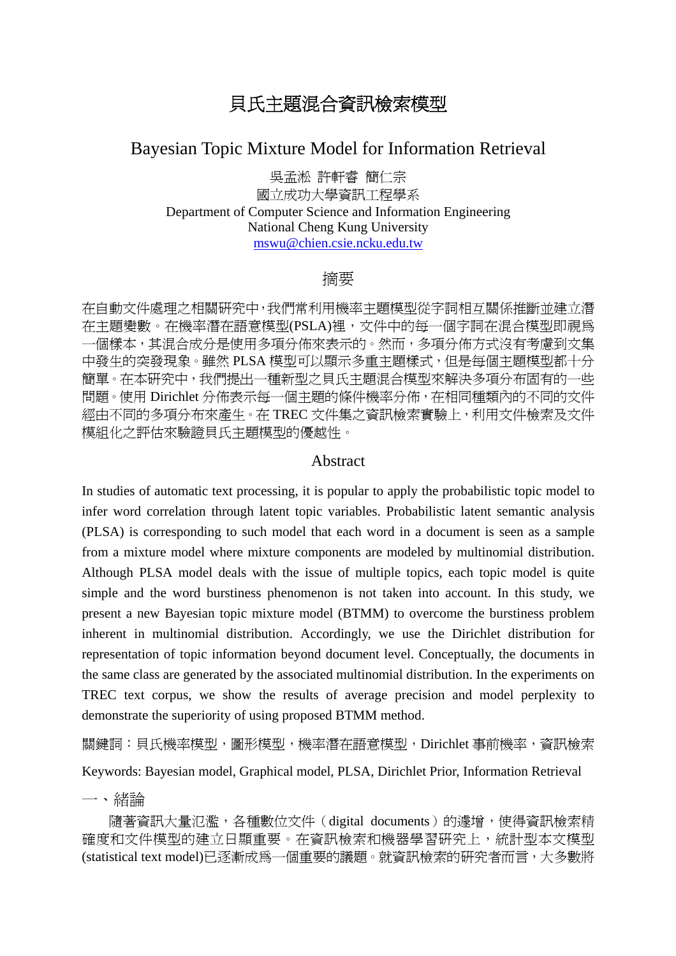# 貝氏主題混合資訊檢索模型

# Bayesian Topic Mixture Model for Information Retrieval

吳孟淞 許軒睿 簡仁宗 國立成功大學資訊工程學系 Department of Computer Science and Information Engineering National Cheng Kung University mswu@chien.csie.ncku.edu.tw

### 摘要

在自動文件處理之相關研究中,我們常利用機率主題模型從字詞相互關係推斷並建立潛 在主題變數。在機率潛在語意模型(PSLA)裡,文件中的每一個字詞在混合模型即視為 一個樣本,其混合成分是使用多項分佈來表示的。然而,多項分佈方式沒有考慮到文集 中發生的突發現象。雖然 PLSA 模型可以顯示多重主題樣式,但是每個主題模型都十分 簡單。在本研究中,我們提出一種新型之貝氏主題混合模型來解決多項分布固有的一些 問題。使用 Dirichlet 分佈表示每一個主題的條件機率分佈,在相同種類內的不同的文件 經由不同的多項分布來產生。在 TREC 文件集之資訊檢索實驗上,利用文件檢索及文件 模組化之評估來驗證貝氏主題模型的優越性。

#### Abstract

In studies of automatic text processing, it is popular to apply the probabilistic topic model to infer word correlation through latent topic variables. Probabilistic latent semantic analysis (PLSA) is corresponding to such model that each word in a document is seen as a sample from a mixture model where mixture components are modeled by multinomial distribution. Although PLSA model deals with the issue of multiple topics, each topic model is quite simple and the word burstiness phenomenon is not taken into account. In this study, we present a new Bayesian topic mixture model (BTMM) to overcome the burstiness problem inherent in multinomial distribution. Accordingly, we use the Dirichlet distribution for representation of topic information beyond document level. Conceptually, the documents in the same class are generated by the associated multinomial distribution. In the experiments on TREC text corpus, we show the results of average precision and model perplexity to demonstrate the superiority of using proposed BTMM method.

關鍵詞:貝氏機率模型,圖形模型,機率潛在語意模型,Dirichlet 事前機率,資訊檢索

Keywords: Bayesian model, Graphical model, PLSA, Dirichlet Prior, Information Retrieval

一、緒論

隨著資訊大量氾濫,各種數位文件(digital documents)的遽增,使得資訊檢索精 確度和文件模型的建立日顯重要。在資訊檢索和機器學習研究上,統計型本文模型 (statistical text model)已逐漸成為一個重要的議題。就資訊檢索的研究者而言,大多數將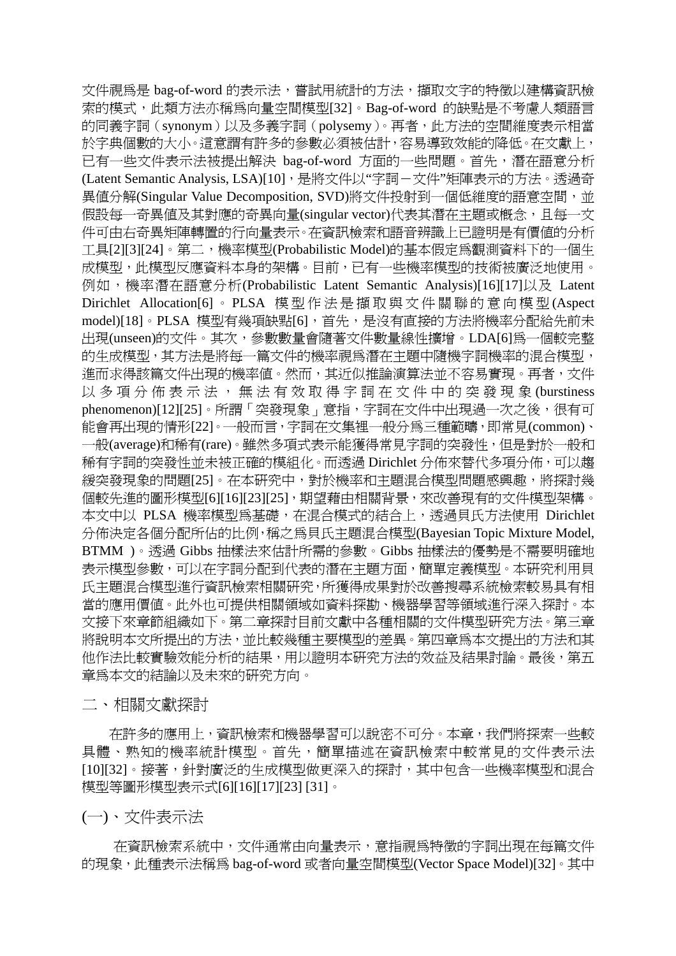文件視爲是 bag-of-word 的表示法,嘗試用統計的方法,擷取文字的特徵以建構資訊檢 索的模式,此類方法亦稱為向量空間模型[32]。Bag-of-word 的缺點是不考慮人類語言 的同義字詞(synonym)以及多義字詞(polysemy)。再者,此方法的空間維度表示相當 於字典個數的大小。這意謂有許多的參數必須被估計,容易導致效能的降低。在文獻上, 已有一些文件表示法被提出解決 bag-of-word 方面的一些問題。首先,潛在語意分析 (Latent Semantic Analysis, LSA)[10], 是將文件以"字詞-文件"矩陣表示的方法。透過奇 異值分解(Singular Value Decomposition, SVD)將文件投射到一個低維度的語意空間, 並 假設每一奇異値及其對應的奇異向量(singular vector)代表其潛在主題或概念,且每一文 件可由右奇異矩陣轉置的行向量表示。在資訊檢索和語音辨識上已證明是有價值的分析 工具[2][3][24]。第二,機率模型(Probabilistic Model)的基本假定為觀測資料下的一個生 成模型,此模型反應資料本身的架構。目前,已有一些機率模型的技術被廣泛地使用。 例如,機率潛在語意分析(Probabilistic Latent Semantic Analysis)[16][17]以及 Latent Dirichlet Allocation[6] 。 PLSA 模型作法是擷取與文件關聯的意向模型 (Aspect model)[18]。PLSA 模型有幾項缺點[6],首先,是沒有直接的方法將機率分配給先前未 出現(unseen)的文件。其次,參數數量會隨著文件數量線性擴增。LDA[6]為一個較完整 的生成模型,其方法是將每一篇文件的機率視為潛在主題中隨機字詞機率的混合模型, 進而求得該篇文件出現的機率值。然而,其近似推論演算法並不容易實現。再者,文件 以多項分佈表示法,無法有效取得字詞在文件中的突發現象 (burstiness phenomenon)[12][25]。所謂「突發現象」意指,字詞在文件中出現過一次之後,很有可 能會再出現的情形[22]。一般而言,字詞在文集裡一般分為三種範疇,即常見(common)、 一般(average)和稀有(rare)。雖然多項式表示能獲得常見字詞的突發性,但是對於一般和 稀有字詞的突發性並未被正確的模組化。而透過 Dirichlet 分佈來替代多項分佈,可以趨 緩突發現象的問題[25]。在本研究中,對於機率和主題混合模型問題感興趣,將探討幾 個較先進的圖形模型[6][16][23][25],期望藉由相關背景,來改善現有的文件模型架構。 本文中以 PLSA 機率模型為基礎, 在混合模式的結合上, 透過貝氏方法使用 Dirichlet 分佈決定各個分配所佔的比例,稱之為貝氏主題混合模型(Bayesian Topic Mixture Model, BTMM )。透過 Gibbs 抽樣法來估計所需的參數。Gibbs 抽樣法的優勢是不需要明確地 表示模型參數,可以在字詞分配到代表的潛在主題方面,簡單定義模型。本研究利用貝 氏主題混合模型進行資訊檢索相關研究,所獲得成果對於改善搜尋系統檢索較易具有相 當的應用價值。此外也可提供相關領域如資料探勘、機器學習等領域進行深入探討。本 文接下來章節組織如下。第二章探討目前文獻中各種相關的文件模型研究方法。第三章 將說明本文所提出的方法,並比較幾種主要模型的差異。第四章為本文提出的方法和其 他作法比較實驗效能分析的結果,用以證明本研究方法的效益及結果討論。最後,第五 章為本文的結論以及未來的研究方向。

二、相關文獻探討

在許多的應用上,資訊檢索和機器學習可以說密不可分。本章,我們將探索一些較 具體、熟知的機率統計模型。首先,簡單描述在資訊檢索中較常見的文件表示法 [10][32]。接著, 針對廣泛的生成模型做更深入的探討, 其中包含一些機率模型和混合 模型等圖形模型表示式[6][16][17][23] [31]。

(一)、文件表示法

在資訊檢索系統中,文件通常由向量表示,意指視為特徵的字詞出現在每篇文件 的現象,此種表示法稱為 bag-of-word 或者向量空間模型(Vector Space Model)[32]。其中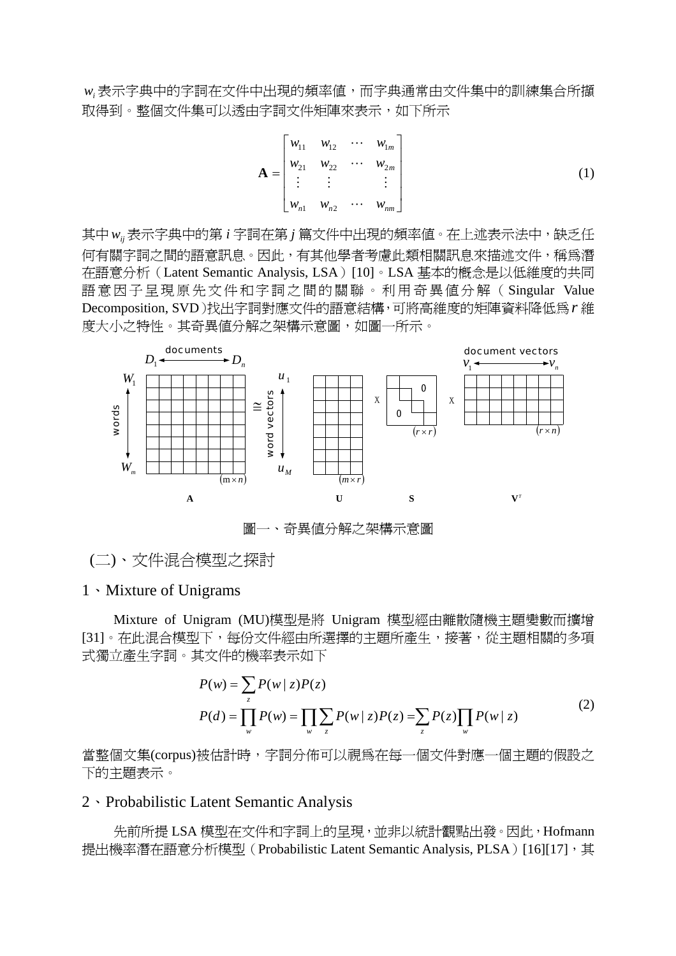w<sub>i</sub> 表示字典中的字詞在文件中出現的頻率值,而字典通常由文件集中的訓練集合所擷 取得到。整個文件集可以透由字詞文件矩陣來表示,如下所示

$$
\mathbf{A} = \begin{bmatrix} w_{11} & w_{12} & \cdots & w_{1m} \\ w_{21} & w_{22} & \cdots & w_{2m} \\ \vdots & \vdots & & \vdots \\ w_{n1} & w_{n2} & \cdots & w_{nm} \end{bmatrix}
$$
 (1)

其中 w<sub>ij</sub> 表示字典中的第 i 字詞在第 j 篇文件中出現的頻率值。在上述表示法中,缺乏任 何有關字詞之間的語意訊息。因此,有其他學者考慮此類相關訊息來描述文件,稱為潛 在語意分析(Latent Semantic Analysis, LSA)[10]。LSA 基本的概念是以低維度的共同 語意因子呈現原先文件和字詞之間的關聯。利用奇異值分解(Singular Value Decomposition, SVD)找出字詞對應文件的語意結構,可將高維度的矩陣資料降低為*r* 維 度大小之特性。其奇異値分解之架構示意圖,如圖一所示。



圖一、奇異值分解之架構示意圖

(二)、文件混合模型之探討

#### 1、Mixture of Unigrams

Mixture of Unigram (MU)模型是將 Unigram 模型經由離散隨機主題變數而擴增 [31]。在此混合模型下,每份文件經由所選擇的主題所產生,接著,從主題相關的多項 式獨立產生字詞。其文件的機率表示如下

$$
P(w) = \sum_{z} P(w | z) P(z)
$$
  
\n
$$
P(d) = \prod_{w} P(w) = \prod_{w} \sum_{z} P(w | z) P(z) = \sum_{z} P(z) \prod_{w} P(w | z)
$$
 (2)

當整個文集(corpus)被估計時,字詞分佈可以視為在每一個文件對應一個主題的假設之 下的主題表示。

#### 2、Probabilistic Latent Semantic Analysis

先前所提 LSA 模型在文件和字詞上的呈現,並非以統計觀點出發。因此, Hofmann 提出機率潛在語意分析模型 (Probabilistic Latent Semantic Analysis, PLSA) [16][17], 其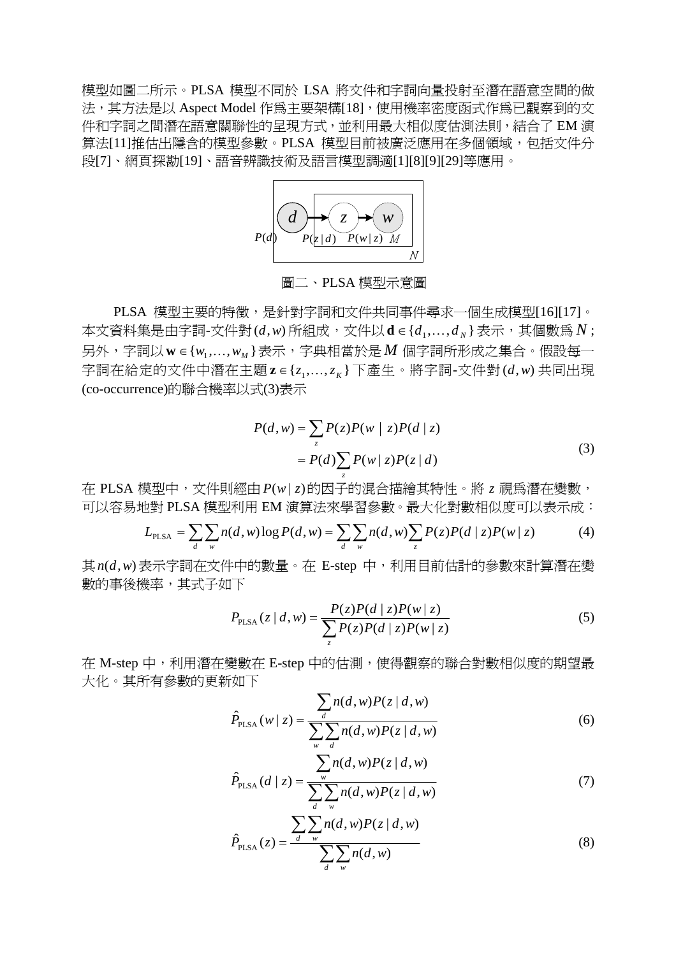模型如圖二所示。PLSA 模型不同於 LSA 將文件和字詞向量投射至潛在語意空間的做 法,其方法是以 Aspect Model 作為主要架構[18],使用機率密度函式作為已觀察到的文 件和字詞之間潛在語意關聯性的呈現方式,並利用最大相似度估測法則,結合了 EM 演 算法[11]推估出隱含的模型參數。PLSA 模型目前被廣泛應用在多個領域,包括文件分 段[7]、網頁探勘[19]、語音辨識技術及語言模型調適[1][8][9][29]等應用。



圖二、PLSA 模型示意圖

PLSA 模型主要的特徵,是針對字詞和文件共同事件尋求一個生成模型[16][17]。 本文資料集是由字詞-文件對 $(d, w)$ 所組成,文件以d∈ $\{d_1, ..., d_N\}$ 表示,其個數爲N;  $\overline{P}$ 另外,字詞以  ${\bf w}$  ∈ { $w_1,...,w_M$ } 表示,字典相當於是 *M* 個字詞所形成之集合。假設每一 字詞在給定的文件中潛在主題 $z ∈ \{z_1, ..., z_K\}$ 下產生。將字詞-文件對 $(d, w)$ 共同出現 (co-occurrence)的聯合機率以式(3)表示

$$
P(d, w) = \sum_{z} P(z)P(w | z)P(d | z)
$$
  
= 
$$
P(d) \sum_{z} P(w | z)P(z | d)
$$
 (3)

在 PLSA 模型中,文件則經由 *P*(*w* | *z*)的因子的混合描繪其特性。將 *z* 視為潛在變數, 可以容易地對 PLSA 模型利用 EM 演算法來學習參數。最大化對數相似度可以表示成:

$$
L_{\text{PLSA}} = \sum_{d} \sum_{w} n(d, w) \log P(d, w) = \sum_{d} \sum_{w} n(d, w) \sum_{z} P(z) P(d \mid z) P(w \mid z)
$$
(4)

其*n*(*d*,*w*)表示字詞在文件中的數量。在 E-step 中,利用目前估計的參數來計算潛在變 數的事後機率,其式子如下

$$
P_{\text{PLSA}}(z \mid d, w) = \frac{P(z)P(d \mid z)P(w \mid z)}{\sum_{z} P(z)P(d \mid z)P(w \mid z)}
$$
(5)

在 M-step 中,利用潛在變數在 E-step 中的估測,使得觀察的聯合對數相似度的期望最 大化。其所有參數的更新如下

$$
\hat{P}_{\text{PLSA}}(w \mid z) = \frac{\sum_{d} n(d, w) P(z \mid d, w)}{\sum_{w} \sum_{d} n(d, w) P(z \mid d, w)}
$$
(6)

$$
\hat{P}_{\text{PLSA}}(d \mid z) = \frac{\sum_{w} n(d, w) P(z \mid d, w)}{\sum_{d} \sum_{w} n(d, w) P(z \mid d, w)}
$$
(7)

$$
\hat{P}_{\text{PLSA}}(z) = \frac{\sum_{d} \sum_{w} n(d, w) P(z | d, w)}{\sum_{d} \sum_{w} n(d, w)}
$$
(8)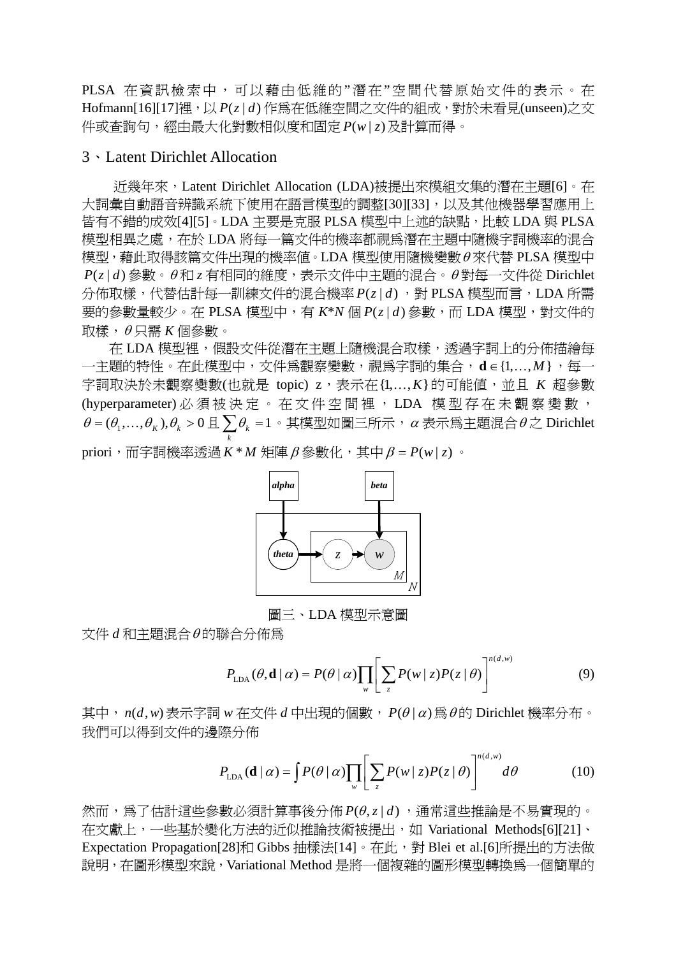PLSA 在資訊檢索中,可以藉由低維的"潛在"空間代替原始文件的表示。在 Hofmann[16][17]裡,以 *P*(*z* | *d*) 作為在低維空間之文件的組成,對於未看見(unseen)之文 件或查詢句,經由最大化對數相似度和固定 *P*(*w* | *z*)及計算而得。

#### 3、Latent Dirichlet Allocation

近幾年來,Latent Dirichlet Allocation (LDA)被提出來模組文集的潛在主題[6]。在 大詞彙自動語音辨識系統下使用在語言模型的調整[30][33],以及其他機器學習應用上 皆有不錯的成效[4][5]。LDA 主要是克服 PLSA 模型中上述的缺點,比較 LDA 與 PLSA 模型相異之處,在於 LDA 將每一篇文件的機率都視為潛在主題中隨機字詞機率的混合 模型,藉此取得該篇文件出現的機率值。LDA 模型使用隨機變數θ 來代替 PLSA 模型中  $P(z|d)$ 參數。θ和 *z* 有相同的維度,表示文件中主題的混合。θ對每一文件從 Dirichlet 分佈取樣,代替估計每一訓練文件的混合機率 *P*(*z* | *d*) ,對 PLSA 模型而言,LDA 所需 要的參數量較少。在 PLSA 模型中,有 *K*\**N* 個 *P*(*z* | *d*) 參數,而 LDA 模型,對文件的 取樣,θ 只需 *K* 個參數。

在 LDA 模型裡,假設文件從潛在主題上隨機混合取樣,透過字詞上的分佈描繪每 一主題的特性。在此模型中,文件爲觀察變數,視爲字詞的集合,d∈{1,...,M},每一 字詞取決於未觀察變數(也就是 topic)  $z$ , 表示在 $\{1, ..., K\}$ 的可能值, 並且  $K$  超參數 (hyperparameter) 必須被決定。在文件空間裡, LDA 模型存在未觀察變數,  $\theta$  =  $(\theta_1, ..., \theta_K)$ , $\theta_k > 0$  且  $\sum \theta_k$  = 1 。其模型如圖三所示,α 表示為主題混合  $\theta$  之 Dirichlet *k* priori,而字詞機率透過 *K* \* *M* 矩陣β 參數化,其中β = *P*(*w* | *z*) 。



圖三、LDA 模型示意圖

文件 *d* 和主題混合θ 的聯合分佈為

$$
P_{\text{LDA}}(\theta, \mathbf{d} \mid \alpha) = P(\theta \mid \alpha) \prod_{w} \left[ \sum_{z} P(w \mid z) P(z \mid \theta) \right]^{n(d, w)}
$$
(9)

其中,*n*(*d*,*w*) 表示字詞 *w* 在文件 *d* 中出現的個數, *P*(θ|α) 為θ的 Dirichlet 機率分布。 我們可以得到文件的邊際分佈

$$
P_{\text{LDA}}(\mathbf{d} \mid \alpha) = \int P(\theta \mid \alpha) \prod_{w} \left[ \sum_{z} P(w \mid z) P(z \mid \theta) \right]^{n(d,w)} d\theta \tag{10}
$$

然而,為了估計這些參數必須計算事後分佈 *P*(θ,*z* | *d*) ,通常這些推論是不易實現的。 在文獻上,一些基於變化方法的近似推論技術被提出,如 Variational Methods[6][21]、 Expectation Propagation[28]和 Gibbs 抽樣法[14]。在此,對 Blei et al.[6]所提出的方法做 說明,在圖形模型來說,Variational Method 是將一個複雜的圖形模型轉換為一個簡單的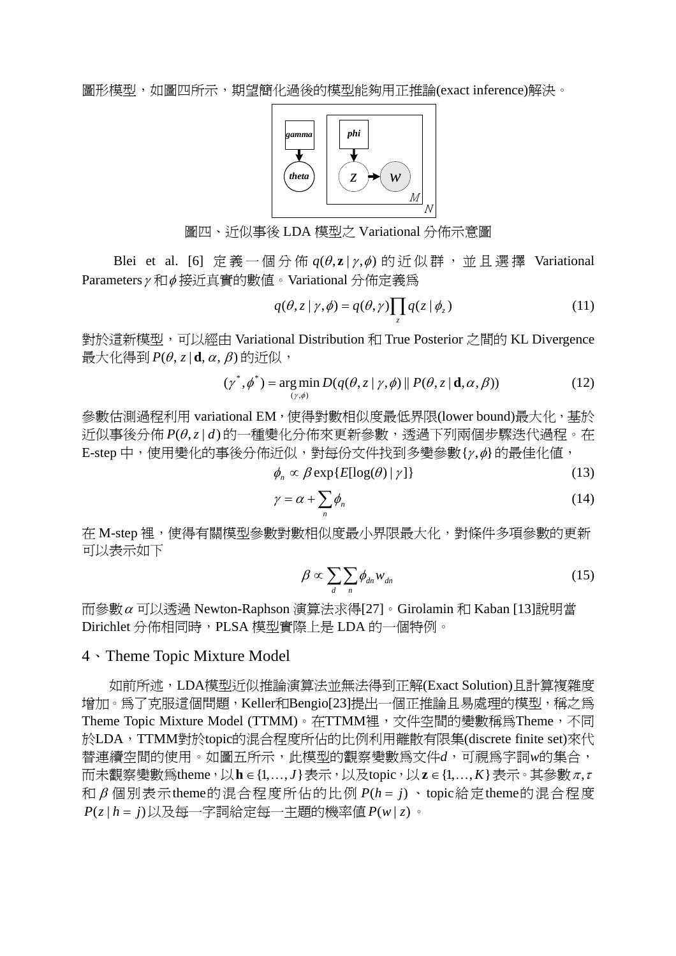

圖四、近似事後 LDA 模型之 Variational 分佈示意圖

Blei et al. [6] 定義一個分佈  $q(\theta, z | \gamma, \phi)$  的近似群, 並且選擇 Variational Parameters<sup>γ</sup> 和φ 接近真實的數值。Variational 分佈定義為

$$
q(\theta, z | \gamma, \phi) = q(\theta, \gamma) \prod_{z} q(z | \phi_z)
$$
 (11)

對於這新模型,可以經由 Variational Distribution 和 True Posterior 之間的 KL Divergence  $\frac{1}{R}$ 大化得到 *P*( $\theta$ , *z* | **d**,  $\alpha$ ,  $\beta$ ) 的近似,

$$
(\gamma^*, \phi^*) = \underset{(\gamma, \phi)}{\arg \min} D(q(\theta, z \mid \gamma, \phi) \parallel P(\theta, z \mid \mathbf{d}, \alpha, \beta))
$$
 (12)

參數估測過程利用 variational EM, 使得對數相似度最低界限(lower bound)最大化, 基於 近似事後分佈 *P*(θ,z|d)的一種變化分佈來更新參數,透過下列兩個步驟迭代過程。在 E-step 中,使用變化的事後分佈近似,對每份文件找到多變參數{<sup>γ</sup> ,φ}的最佳化值,

 $\phi_n \propto \beta \exp\{E[\log(\theta) | \gamma]\}$  (13)

$$
\gamma = \alpha + \sum_{n} \phi_{n} \tag{14}
$$

在 M-step 裡,使得有關模型參數對數相似度最小界限最大化,對條件多項參數的更新 可以表示如下

$$
\beta \propto \sum_{d} \sum_{n} \phi_{dn} w_{dn} \tag{15}
$$

而參數<sup>α</sup> 可以透過 Newton-Raphson 演算法求得[27]。Girolamin 和 Kaban [13]說明當 Dirichlet 分佈相同時,PLSA 模型實際上是 LDA 的一個特例。

#### 4、Theme Topic Mixture Model

如前所述,LDA模型近似推論演算法並無法得到正解(Exact Solution)且計算複雜度 增加。為了克服這個問題,Keller和Bengio[23]提出一個正推論且易處理的模型,稱之為 Theme Topic Mixture Model (TTMM)。在TTMM裡, 文件空間的變數稱為Theme, 不同 於LDA, TTMM對於topic的混合程度所佔的比例利用離散有限集(discrete finite set)來代 替連續空間的使用。如圖五所示,此模型的觀察變數為文件*d*,可視為字詞*w*的集合, 而未觀察變數爲theme,以h∈{1,...,*J*}表示,以及topic,以z∈{1,...,K}表示。其參數π,τ 和 β 個別表示theme的混合程度所佔的比例 *P*(*h* = *j*) 、topic給定theme的混合程度 *P*(*z* | *h* = *j*)以及每一字詞給定每一主題的機率值 *P*(*w* | *z*)。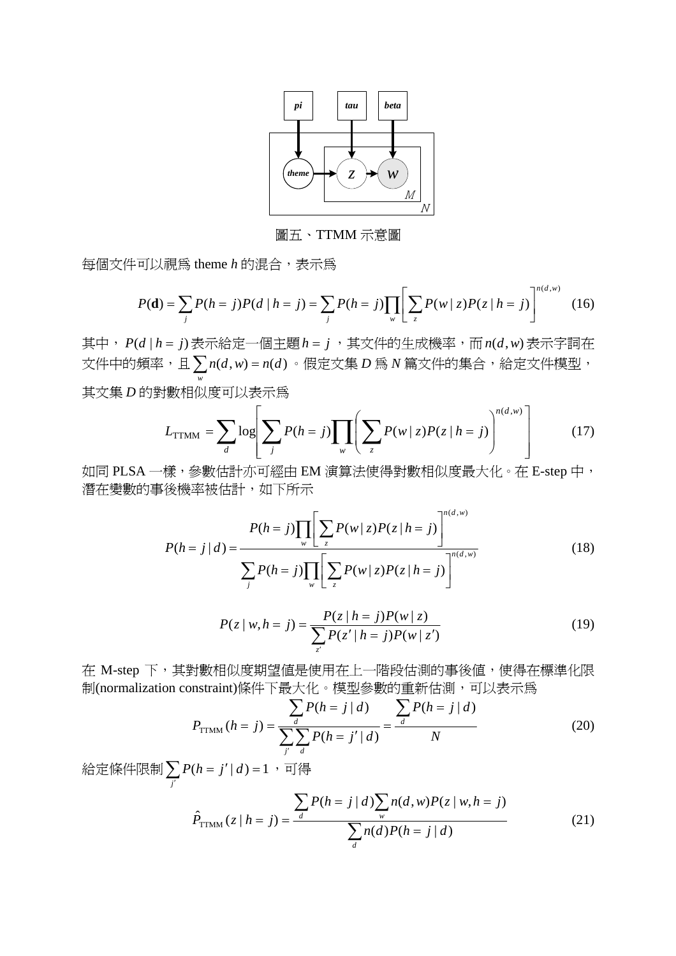

圖五、TTMM 示意圖

每個文件可以視為 theme *h* 的混合,表示為

$$
P(\mathbf{d}) = \sum_{j} P(h = j) P(d \mid h = j) = \sum_{j} P(h = j) \prod_{w} \left[ \sum_{z} P(w \mid z) P(z \mid h = j) \right]^{n(d, w)}
$$
(16)

其中, *P*(*d* | *h* = *j*) 表示給定一個主題*h* = *j* ,其文件的生成機率,而*n*(*d*,*w*) 表示字詞在 文件中的頻率,且 $\sum n(d,w) = n(d)$  $\sum_{w} n(d, w) = n(d)$ 。假定文集 *D* 爲 *N* 篇文件的集合,給定文件模型, 其文集 *D* 的對數相似度可以表示為

$$
L_{\text{TTMM}} = \sum_{d} \log \left[ \sum_{j} P(h=j) \prod_{w} \left( \sum_{z} P(w \mid z) P(z \mid h=j) \right)^{n(d,w)} \right] \tag{17}
$$

如同 PLSA 一樣,參數估計亦可經由 EM 演算法使得對數相似度最大化。在 E-step 中, 潛在變數的事後機率被估計,如下所示

$$
P(h = j | d) = \frac{P(h = j) \prod_{w} \left[ \sum_{z} P(w | z) P(z | h = j) \right]^{n(d, w)}}{\sum_{j} P(h = j) \prod_{w} \left[ \sum_{z} P(w | z) P(z | h = j) \right]^{n(d, w)}}
$$
(18)

$$
P(z \mid w, h = j) = \frac{P(z \mid h = j)P(w \mid z)}{\sum_{z'} P(z' \mid h = j)P(w \mid z')}
$$
(19)

在 M-step 下,其對數相似度期望值是使用在上一階段估測的事後值,使得在標準化限 制(normalization constraint)條件下最大化。模型參數的重新估測,可以表示為

$$
P_{\text{TTMM}}(h = j) = \frac{\sum_{d} P(h = j \mid d)}{\sum_{j'} \sum_{d} P(h = j' \mid d)} = \frac{\sum_{d} P(h = j \mid d)}{N}
$$
(20)

給定條件限制 $\sum_{j'} P(h = j' | d) = 1$  $P(h = j' | d) = 1$  ,可得

$$
\hat{P}_{\text{TTMM}}(z \mid h = j) = \frac{\sum_{d} P(h = j \mid d) \sum_{w} n(d, w) P(z \mid w, h = j)}{\sum_{d} n(d) P(h = j \mid d)} \tag{21}
$$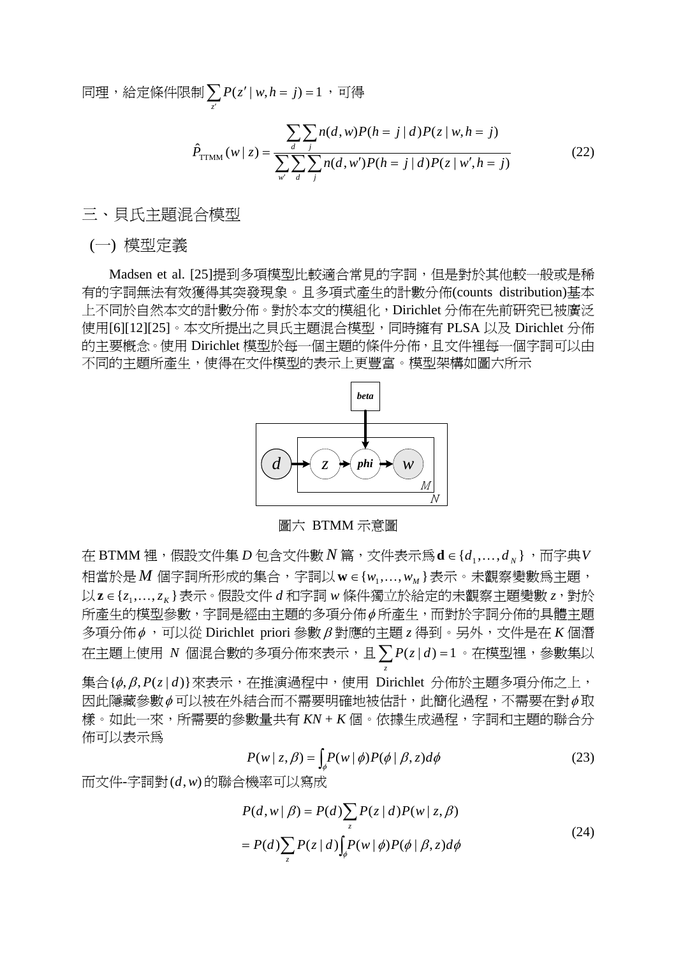同理,給定條件限制 $\sum\limits_{z^{'}} P(z^{'}|\, w,h=j)$ =1,可得

$$
\hat{P}_{\text{TTMM}}(w \mid z) = \frac{\sum_{d} \sum_{j} n(d, w) P(h = j \mid d) P(z \mid w, h = j)}{\sum_{w'} \sum_{d} \sum_{j} n(d, w') P(h = j \mid d) P(z \mid w', h = j)}
$$
(22)

三、貝氏主題混合模型

(一) 模型定義

Madsen et al. [25]提到多項模型比較適合常見的字詞,但是對於其他較一般或是稀 有的字詞無法有效獲得其突發現象。且多項式產生的計數分佈(counts distribution)基本 上不同於自然本文的計數分佈。對於本文的模組化,Dirichlet 分佈在先前研究已被廣泛 使用[6][12][25]。本文所提出之貝氏主題混合模型,同時擁有 PLSA 以及 Dirichlet 分佈 的主要概念。使用 Dirichlet 模型於每一個主題的條件分佈,且文件裡每一個字詞可以由 不同的主題所產生,使得在文件模型的表示上更豐富。模型架構如圖六所示



圖六 BTMM 示意圖

在 BTMM 裡, 假設文件集 *D* 包含文件數 *N* 篇, 文件表示為 d ∈ { $d_1$ ,..., $d_n$ }, 而字典 V 相當於是 M 個字詞所形成的集合,字詞以 w ∈ {w<sub>1</sub>,...,w<sub>M</sub>}表示。未觀察變數爲主題, 以z∈{z,,...,zk}表示。假設文件 *d* 和字詞 w 條件獨立於給定的未觀察主題變數 z,對於 所產生的模型參數,字詞是經由主題的多項分佈φ 所產生,而對於字詞分佈的具體主題 多項分佈φ ,可以從 Dirichlet priori 參數β 對應的主題 *z* 得到。另外,文件是在 *K* 個潛  $\overline{A}$ 主題上使用  $N$  個混合數的多項分佈來表示,且 $\sum\limits_{z}P(z\,|\,d)$  = 1 。在模型裡,參數集以 集合{φ, β, *P*(*z* | *d*)}來表示, 在推演過程中, 使用 Dirichlet 分佈於主題多項分佈之上, 因此隱藏參數Φ可以被在外結合而不需要明確地被估計,此簡化過程,不需要在對Φ取 樣。如此一來,所需要的參數量共有 *KN* + *K* 個。依據生成過程,字詞和主題的聯合分 佈可以表示為

$$
P(w \mid z, \beta) = \int_{\phi} P(w \mid \phi) P(\phi \mid \beta, z) d\phi \tag{23}
$$

而文件-字詞對(*d*,*w*) 的聯合機率可以寫成

$$
P(d, w | \beta) = P(d) \sum_{z} P(z | d) P(w | z, \beta)
$$
  
= 
$$
P(d) \sum_{z} P(z | d) \int_{\phi} P(w | \phi) P(\phi | \beta, z) d\phi
$$
 (24)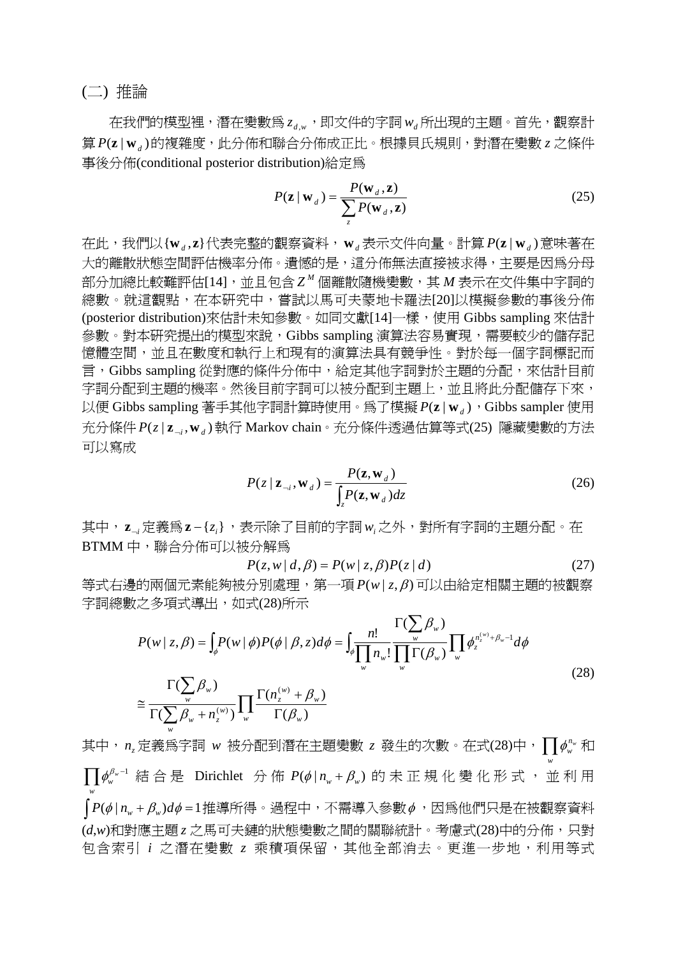(二) 推論

在我們的模型裡,潛在變數為 *<sup>d</sup> <sup>w</sup> z* , ,即文件的字詞*wd* 所出現的主題。首先,觀察計 算  $P(z | w_i)$ 的複雜度,此分佈和聯合分佈成正比。根據貝氏規則,對潛在變數 *z* 之條件 事後分佈(conditional posterior distribution)給定為

$$
P(\mathbf{z} \mid \mathbf{w}_d) = \frac{P(\mathbf{w}_d, \mathbf{z})}{\sum_{z} P(\mathbf{w}_d, \mathbf{z})}
$$
(25)

在此,我們以{**w** , **z**} *<sup>d</sup>* 代表完整的觀察資料,**w***<sup>d</sup>* 表示文件向量。計算 ( | ) *P* **w***<sup>d</sup>* **z** 意味著在 大的離散狀態空間評估機率分佈。遺憾的是,這分佈無法直接被求得,主要是因為分母 部分加總比較難評估[14],並且包含 *<sup>M</sup> Z* 個離散隨機變數,其 *M* 表示在文件集中字詞的 總數。就這觀點,在本研究中,嘗試以馬可夫蒙地卡羅法[20]以模擬參數的事後分佈 (posterior distribution)來估計未知參數。如同文獻[14]一樣,使用 Gibbs sampling 來估計 參數。對本研究提出的模型來說,Gibbs sampling 演算法容易實現,需要較少的儲存記 憶體空間,並且在數度和執行上和現有的演算法具有競爭性。對於每一個字詞標記而 言,Gibbs sampling 從對應的條件分佈中,給定其他字詞對於主題的分配,來估計目前 字詞分配到主題的機率。然後目前字詞可以被分配到主題上,並且將此分配儲存下來, 以便 Gibbs sampling 著手其他字詞計算時使用。爲了模擬  $P(z | w_d)$ , Gibbs sampler 使用 充分條件  $P(z | z_{-i}, w_{-i})$ 執行 Markov chain。充分條件透過估算等式(25) 隱藏變數的方法 可以寫成

$$
P(z \mid \mathbf{z}_{-i}, \mathbf{w}_d) = \frac{P(\mathbf{z}, \mathbf{w}_d)}{\int_z P(\mathbf{z}, \mathbf{w}_d) dz}
$$
(26)

其中, z<sub>→</sub>定義爲z-{z<sub>i</sub>},表示除了目前的字詞w<sub>i</sub>之外,對所有字詞的主題分配。在 BTMM 中,聯合分佈可以被分解為

$$
P(z, w | d, \beta) = P(w | z, \beta) P(z | d)
$$
 (27)

等式右邊的兩個元素能夠被分別處理,第一項 *P*(*w* | *z*, β)可以由給定相關主題的被觀察 字詞總數之多項式導出,如式(28)所示

$$
P(w \mid z, \beta) = \int_{\phi} P(w \mid \phi) P(\phi \mid \beta, z) d\phi = \int_{\phi} \frac{n!}{\prod_{w} n_{w}!} \frac{\Gamma(\sum_{w} \beta_{w})}{\prod_{w} \Gamma(\beta_{w})} \prod_{w} \phi_{z}^{n_{z}^{(w)} + \beta_{w} - 1} d\phi
$$
  

$$
\approx \frac{\Gamma(\sum_{w} \beta_{w})}{\Gamma(\sum_{w} \beta_{w} + n_{z}^{(w)})} \prod_{w} \frac{\Gamma(n_{z}^{(w)} + \beta_{w})}{\Gamma(\beta_{w})}
$$
(28)

其中,*n*<sub>Σ</sub>定義爲字詞 *w* 被分配到潛在主題變數 z 發生的次數。在式(28)中,∏ ¢¦¦  $\phi_{w}^{n_{w}}$   $\bar{\pi}$  $\prod \phi _w^{\beta _w -1}$  結合是 Dirichlet 分佈  $P( \phi \, | \, n_{_w} + \beta _w)$  的未正規化變化形式, 並利用 *w*  $\int P(\phi \mid n_{w} + \beta_{w}) d\phi = 1$ 推導所得。過程中,不需導入參數 $\phi$ ,因為他們只是在被觀察資料 (*d*,*w*)和對應主題 *z* 之馬可夫鏈的狀態變數之間的關聯統計。考慮式(28)中的分佈,只對 包含索引 *i* 之潛在變數 *z* 乘積項保留,其他全部消去。更進一步地,利用等式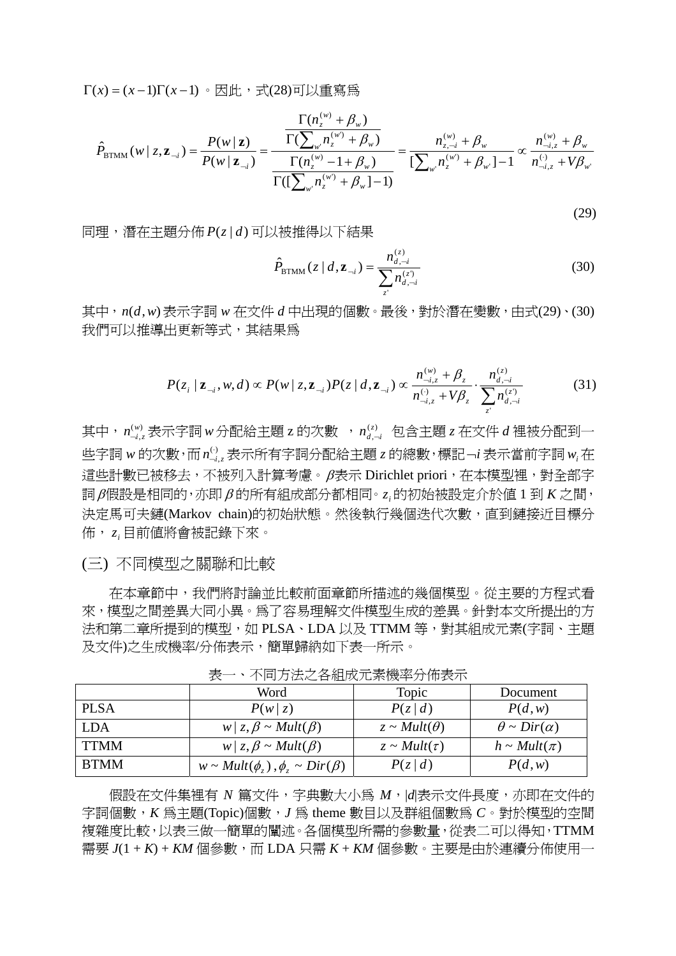Γ(*x*) = (*x* −1)Γ(*x* −1) 。因此,式(28)可以重寫為

$$
\hat{P}_{\text{BTMM}}(w \mid z, \mathbf{z}_{-i}) = \frac{P(w \mid \mathbf{z})}{P(w \mid \mathbf{z}_{-i})} = \frac{\frac{\Gamma(n_z^{(w)} + \beta_w)}{\Gamma(\sum_{w'} n_z^{(w')} + \beta_w)}}{\frac{\Gamma(n_z^{(w)} - 1 + \beta_w)}{\Gamma((\sum_{w'} n_z^{(w)} + \beta_w) - 1)}} = \frac{n_{z, -i}^{(w)} + \beta_w}{\Gamma(\sum_{w'} n_z^{(w')} + \beta_w - 1)} \propto \frac{n_{-i, z}^{(w)} + \beta_w}{n_{-i, z}^{(w)} + \beta_w}.
$$

(29)

同理,潛在主題分佈 *P*(*z* | *d*) 可以被推得以下結果

$$
\hat{P}_{\text{BTMM}}(z | d, \mathbf{z}_{-i}) = \frac{n_{d,-i}^{(z)}}{\sum_{z'} n_{d,-i}^{(z')}} \tag{30}
$$

其中,  $n(d, w)$  表示字詞 w 在文件  $d$  中出現的個數。最後, 對於潛在變數, 由式(29)、(30) 我們可以推導出更新等式,其結果為

$$
P(z_i | \mathbf{z}_{-i}, w, d) \propto P(w | z, \mathbf{z}_{-i}) P(z | d, \mathbf{z}_{-i}) \propto \frac{n_{-i,z}^{(w)} + \beta_z}{n_{-i,z}^{(v)} + V\beta_z} \cdot \frac{n_{d,-i}^{(z)}}{\sum_{z'} n_{d,-i}^{(z)}} \tag{31}
$$

其中, $\bm{\mathit{n}}^{\scriptscriptstyle(w)}_{\scriptscriptstyle \neg \bm{i},\bm{:}}}$  $n_{\neg i,z}^{\text{\tiny(w)}}$ 表示字詞w分配給主題z的次數 , $n_{d,-}^{\text{\tiny(z)}}$  $n_{d,\neg i}^{(z)}$  包含主題  $z$  在文件  $d$  裡被分配到一 些字詞 w 的次數,而  $n_{\neg i, \neg}^{(\cdot)}$  $n_{\neg i,z}^{(\cdot)}$ 表示所有字詞分配給主題  $z$  的總數,標記¬ $i$  表示當前字詞  $w_i$ 在 這些計數已被移去,不被列入計算考慮。β表示 Dirichlet priori,在本模型裡,對全部字 詞β假設是相同的,亦即β 的所有組成部分都相同。 *<sup>i</sup> z* 的初始被設定介於值 1 到 *K* 之間, 決定馬可夫鏈(Markov chain)的初始狀態。然後執行幾個迭代次數,直到鏈接近目標分 佈, *<sup>i</sup> z* 目前值將會被記錄下來。

(三) 不同模型之關聯和比較

在本章節中,我們將討論並比較前面章節所描述的幾個模型。從主要的方程式看 來,模型之間差異大同小異。為了容易理解文件模型生成的差異。針對本文所提出的方 法和第二章所提到的模型,如 PLSA、LDA 以及 TTMM 等,對其組成元素(字詞、主題 及文件)之生成機率/分佈表示,簡單歸納如下表一所示。

|             | Word                                          | Topic                 | Document                  |  |  |
|-------------|-----------------------------------------------|-----------------------|---------------------------|--|--|
| <b>PLSA</b> | P(w z)                                        | P(z d)                | P(d, w)                   |  |  |
| <b>LDA</b>  | $w \mid z, \beta \sim Mult(\beta)$            | $z \sim Mult(\theta)$ | $\theta \sim Dir(\alpha)$ |  |  |
| <b>TTMM</b> | $w \mid z, \beta \sim Mult(\beta)$            | $z \sim Mult(\tau)$   | $h \sim Mult(\pi)$        |  |  |
| <b>BTMM</b> | $w \sim Mult(\phi_z), \phi_z \sim Dir(\beta)$ | P(z d)                | P(d, w)                   |  |  |

表一、不同方法之各組成元素機率分佈表示

假設在文件集裡有 *N* 篇文件,字典數大小為 *M*,|*d*|表示文件長度,亦即在文件的 字詞個數,*K* 為主題(Topic)個數,*J* 為 theme 數目以及群組個數為 *C*。對於模型的空間 複雜度比較,以表三做一簡單的闡述。各個模型所需的參數量,從表二可以得知,TTMM 需要 *J*(1 + *K*) + *KM* 個參數,而 LDA 只需 *K* + *KM* 個參數。主要是由於連續分佈使用一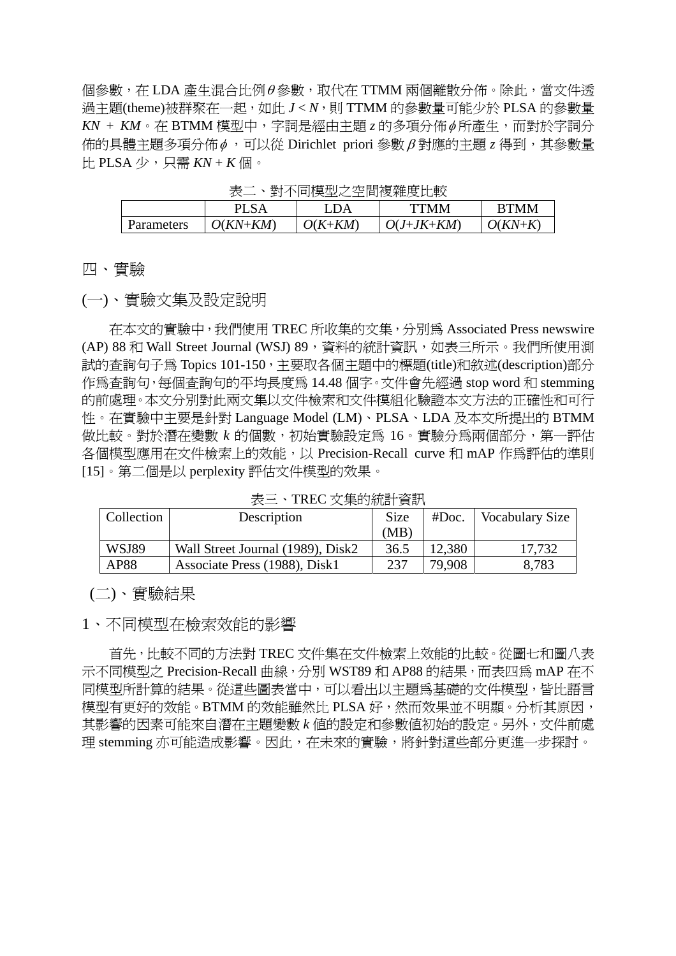個參數,在 LDA 產生混合比例θ參數,取代在 TTMM 兩個離散分佈。除此,當文件透 過主題(theme)被群聚在一起,如此  $J < N$ ,則 TTMM 的參數量可能少於 PLSA 的參數量 *KN* + *KM*。在 BTMM 模型中,字詞是經由主題 *z* 的多項分佈φ 所產生,而對於字詞分 佈的具體主題多項分佈φ ,可以從 Dirichlet priori 參數β 對應的主題 *z* 得到,其參數量 比 PLSA 少,只需 *KN* + *K* 個。

|            |          | LDA     | <b>TTMM</b>  | <b>RTMM</b> |
|------------|----------|---------|--------------|-------------|
| Parameters | O(KN+KM) | O(K+KM) | $O(J+JK+KM)$ | $O(KN+K)$   |

、對不同横刑之空間頻雜度比較

四、實驗

(一)、實驗文集及設定說明

在本文的實驗中,我們使用 TREC 所收集的文集,分別為 Associated Press newswire (AP) 88 和 Wall Street Journal (WSJ) 89, 資料的統計資訊, 如表三所示。我們所使用測 試的查詢句子為 Topics 101-150,主要取各個主題中的標題(title)和敘述(description)部分 作為查詢句,每個查詢句的平均長度為 14.48 個字。文件會先經過 stop word 和 stemming 的前處理。本文分別對此兩文集以文件檢索和文件模組化驗證本文方法的正確性和可行 性。在實驗中主要是針對 Language Model (LM)、PLSA、LDA 及本文所提出的 BTMM 做比較。對於潛在變數 k 的個數,初始實驗設定為 16。實驗分為兩個部分, 第一評估 各個模型應用在文件檢索上的效能,以 Precision-Recall curve 和 mAP 作為評估的準則 [15]。第二個是以 perplexity 評估文件模型的效果。

表三、TREC 文集的統計資訊

| Collection | Description                       | <b>Size</b> | #Doc.  | <b>Vocabulary Size</b> |
|------------|-----------------------------------|-------------|--------|------------------------|
|            |                                   |             |        |                        |
|            |                                   | (MB)        |        |                        |
| WSJ89      | Wall Street Journal (1989), Disk2 | 36.5        | 12,380 | 17.732                 |
| AP88       | Associate Press (1988), Disk1     | 237         | 79,908 | 8,783                  |

(二)、實驗結果

1、不同模型在檢索效能的影響

首先,比較不同的方法對 TREC 文件集在文件檢索上效能的比較。從圖七和圖八表 示不同模型之 Precision-Recall 曲線,分別 WST89 和 AP88 的結果,而表四為 mAP 在不 同模型所計算的結果。從這些圖表當中,可以看出以主題為基礎的文件模型,皆比語言 模型有更好的效能。BTMM 的效能雖然比 PLSA 好,然而效果並不明顯。分析其原因, 其影響的因素可能來自潛在主題變數 *k* 值的設定和參數值初始的設定。另外,文件前處 理 stemming 亦可能造成影響。因此,在未來的實驗,將針對這些部分更進一步探討。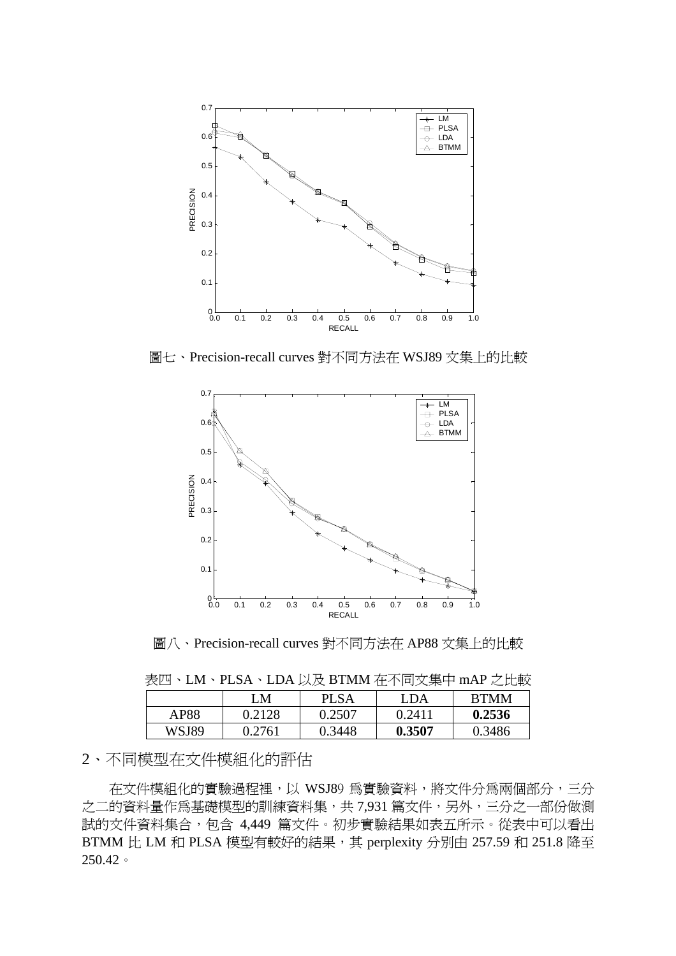

圖七、Precision-recall curves 對不同方法在 WSJ89 文集上的比較



圖八、Precision-recall curves 對不同方法在 AP88 文集上的比較

表四、LM、PLSA、LDA 以及 BTMM 在不同文集中 mAP 之比較

|       | ١M     | <b>PLSA</b> | LDA    | <b>RTMM</b> |
|-------|--------|-------------|--------|-------------|
| AP88  | 0.2128 | 0.2507      | 0.241  | 0.2536      |
| WSJ89 | 0.2761 | 0.3448      | 0.3507 | 0.3486      |

## 2、不同模型在文件模組化的評估

在文件模組化的實驗過程裡,以 WSJ89 為實驗資料,將文件分為兩個部分,三分 之二的資料量作為基礎模型的訓練資料集,共 7,931 篇文件,另外,三分之一部份做測 試的文件資料集合,包含 4,449 篇文件。初步實驗結果如表五所示。從表中可以看出 BTMM 比 LM 和 PLSA 模型有較好的結果, 其 perplexity 分別由 257.59 和 251.8 降至 250.42。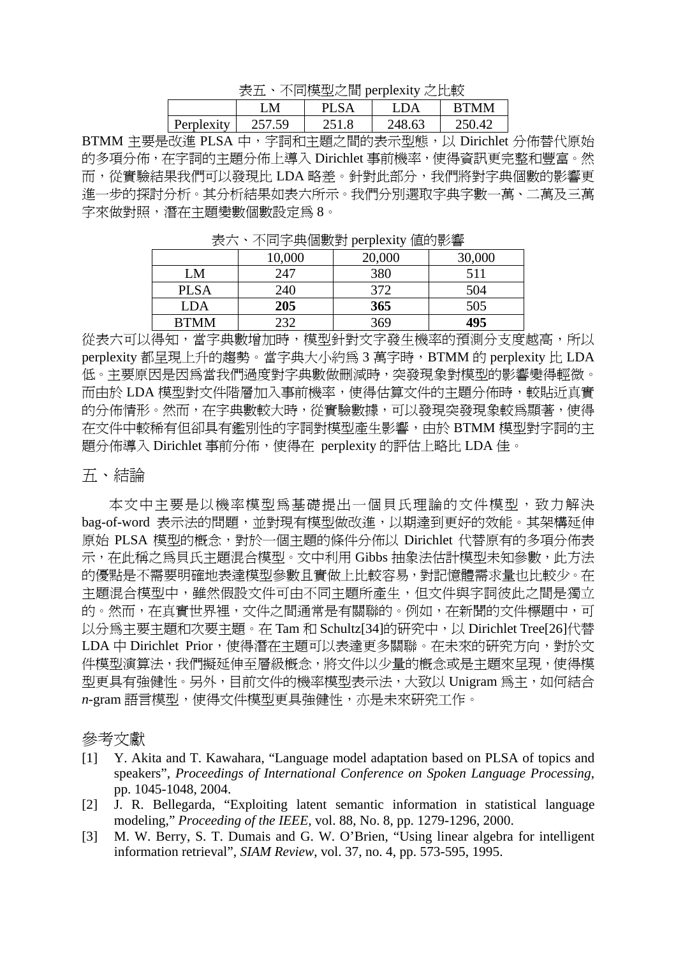表五、不同模型之間 perplexity 之比較

| ----<br>$\sim$ $\sim$ $\sim$ $\sim$ |        |       |        |             |
|-------------------------------------|--------|-------|--------|-------------|
|                                     | M      |       |        | <b>RTMM</b> |
| Perplexity                          | 257.59 | 251 R | 248.63 | 250.42      |

BTMM 主要是改進 PLSA 中,字詞和主題之間的表示型態,以 Dirichlet 分佈替代原始 的多項分佈,在字詞的主題分佈上導入 Dirichlet 事前機率,使得資訊更完整和豐富。然 而,從實驗結果我們可以發現比 LDA 略差。針對此部分,我們將對字典個數的影響更 進一步的探討分析。其分析結果如表六所示。我們分別選取字典字數一萬、二萬及三萬 字來做對照,潛在主題變數個數設定為 8。

| - - -<br>$\rightarrow$ $\rightarrow$ $\rightarrow$ $\rightarrow$ $\rightarrow$ $\rightarrow$ |        |        |        |  |
|----------------------------------------------------------------------------------------------|--------|--------|--------|--|
|                                                                                              | 10,000 | 20,000 | 30,000 |  |
| LM                                                                                           | 247    | 380    | 511    |  |
| <b>PLSA</b>                                                                                  | 240    | 372    | 504    |  |
| <b>LDA</b>                                                                                   | 205    | 365    | 505    |  |
| <b>BTMM</b>                                                                                  | 232    | 369    | 495    |  |

表六、不同字典個數對 perplexity 值的影響

從表六可以得知,當字典數增加時,模型針對文字發生機率的預測分支度越高,所以 perplexity 都呈現上升的趨勢。當字典大小約爲 3 萬字時, BTMM 的 perplexity 比 LDA 低。主要原因是因為當我們過度對字典數做刪減時,突發現象對模型的影響變得輕微。 而由於 LDA 模型對文件階層加入事前機率,使得估算文件的主題分佈時,較貼近真實 的分佈情形。然而,在字典數較大時,從實驗數據,可以發現突發現象較為顯著,使得 在文件中較稀有但卻具有鑑別性的字詞對模型產生影響,由於 BTMM 模型對字詞的主 題分佈導入 Dirichlet 事前分佈,使得在 perplexity 的評估上略比 LDA 佳。

#### 五、結論

本文中主要是以機率模型為基礎提出一個貝氏理論的文件模型,致力解決 bag-of-word 表示法的問題,並對現有模型做改進,以期達到更好的效能。其架構延伸 原始 PLSA 模型的概念,對於一個主題的條件分佈以 Dirichlet 代替原有的多項分佈表 示, 在此稱之為貝氏主題混合模型。文中利用 Gibbs 抽象法估計模型未知參數, 此方法 的優點是不需要明確地表達模型參數且實做上比較容易,對記憶體需求量也比較少。在 主題混合模型中,雖然假設文件可由不同主題所產生,但文件與字詞彼此之間是獨立 的。然而,在真實世界裡,文件之間通常是有關聯的。例如,在新聞的文件標題中,可 以分為主要主題和次要主題。在 Tam 和 Schultz[34]的研究中,以 Dirichlet Tree[26]代替 LDA 中 Dirichlet Prior,使得潛在主題可以表達更多關聯。在未來的研究方向,對於文 件模型演算法,我們擬延伸至層級概念,將文件以少量的概念或是主題來呈現,使得模 型更具有強健性。另外,目前文件的機率模型表示法,大致以 Unigram 為主,如何結合 *n*-gram 語言模型,使得文件模型更具強健性,亦是未來研究工作。

#### 參考文獻

- [1] Y. Akita and T. Kawahara, "Language model adaptation based on PLSA of topics and speakers", *Proceedings of International Conference on Spoken Language Processing*, pp. 1045-1048, 2004.
- [2] J. R. Bellegarda, "Exploiting latent semantic information in statistical language modeling," *Proceeding of the IEEE,* vol. 88, No. 8, pp. 1279-1296, 2000.
- [3] M. W. Berry, S. T. Dumais and G. W. O'Brien, "Using linear algebra for intelligent information retrieval", *SIAM Review*, vol. 37, no. 4, pp. 573-595, 1995.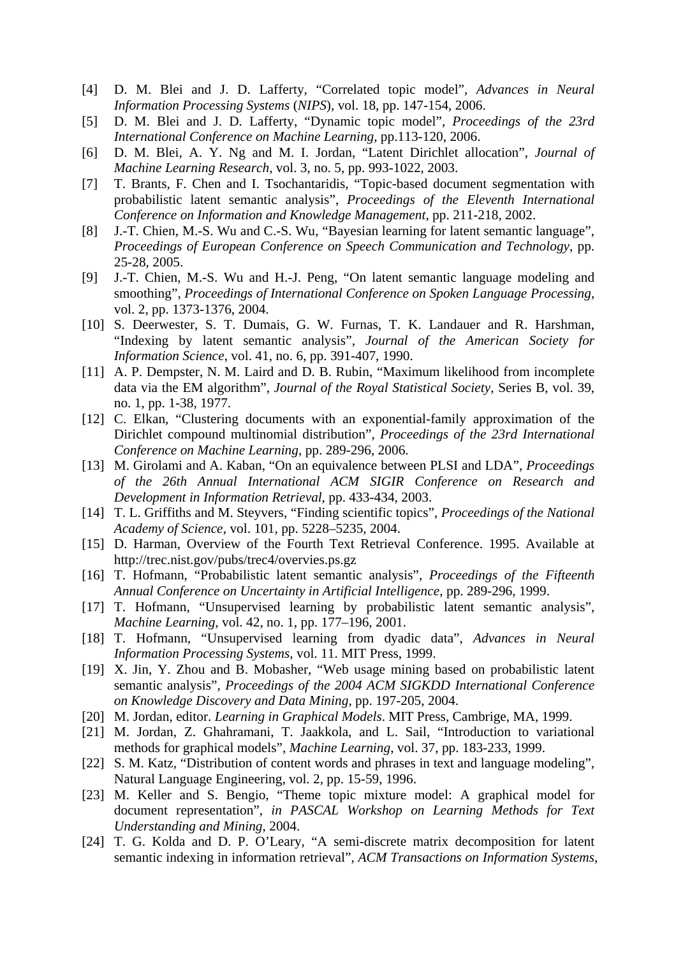- [4] D. M. Blei and J. D. Lafferty, "Correlated topic model", *Advances in Neural Information Processing Systems* (*NIPS*), vol. 18, pp. 147-154, 2006.
- [5] D. M. Blei and J. D. Lafferty, "Dynamic topic model", *Proceedings of the 23rd International Conference on Machine Learning*, pp.113-120, 2006.
- [6] D. M. Blei, A. Y. Ng and M. I. Jordan, "Latent Dirichlet allocation", *Journal of Machine Learning Research*, vol. 3, no. 5, pp. 993-1022, 2003.
- [7] T. Brants, F. Chen and I. Tsochantaridis, "Topic-based document segmentation with probabilistic latent semantic analysis", *Proceedings of the Eleventh International Conference on Information and Knowledge Management*, pp. 211-218, 2002.
- [8] J.-T. Chien, M.-S. Wu and C.-S. Wu, "Bayesian learning for latent semantic language", *Proceedings of European Conference on Speech Communication and Technology*, pp. 25-28, 2005.
- [9] J.-T. Chien, M.-S. Wu and H.-J. Peng, "On latent semantic language modeling and smoothing", *Proceedings of International Conference on Spoken Language Processing*, vol. 2, pp. 1373-1376, 2004.
- [10] S. Deerwester, S. T. Dumais, G. W. Furnas, T. K. Landauer and R. Harshman, "Indexing by latent semantic analysis", *Journal of the American Society for Information Science*, vol. 41, no. 6, pp. 391-407, 1990.
- [11] A. P. Dempster, N. M. Laird and D. B. Rubin, "Maximum likelihood from incomplete data via the EM algorithm", *Journal of the Royal Statistical Society*, Series B, vol. 39, no. 1, pp. 1-38, 1977.
- [12] C. Elkan, "Clustering documents with an exponential-family approximation of the Dirichlet compound multinomial distribution", *Proceedings of the 23rd International Conference on Machine Learning*, pp. 289-296, 2006.
- [13] M. Girolami and A. Kaban, "On an equivalence between PLSI and LDA", *Proceedings of the 26th Annual International ACM SIGIR Conference on Research and Development in Information Retrieval*, pp. 433-434, 2003.
- [14] T. L. Griffiths and M. Steyvers, "Finding scientific topics", *Proceedings of the National Academy of Science*, vol. 101, pp. 5228–5235, 2004.
- [15] D. Harman, Overview of the Fourth Text Retrieval Conference. 1995. Available at http://trec.nist.gov/pubs/trec4/overvies.ps.gz
- [16] T. Hofmann, "Probabilistic latent semantic analysis", *Proceedings of the Fifteenth Annual Conference on Uncertainty in Artificial Intelligence*, pp. 289-296, 1999.
- [17] T. Hofmann, "Unsupervised learning by probabilistic latent semantic analysis", *Machine Learning*, vol. 42, no. 1, pp. 177–196, 2001.
- [18] T. Hofmann, "Unsupervised learning from dyadic data", *Advances in Neural Information Processing Systems*, vol. 11. MIT Press, 1999.
- [19] X. Jin, Y. Zhou and B. Mobasher, "Web usage mining based on probabilistic latent semantic analysis", *Proceedings of the 2004 ACM SIGKDD International Conference on Knowledge Discovery and Data Mining*, pp. 197-205, 2004.
- [20] M. Jordan, editor. *Learning in Graphical Models*. MIT Press, Cambrige, MA, 1999.
- [21] M. Jordan, Z. Ghahramani, T. Jaakkola, and L. Sail, "Introduction to variational methods for graphical models", *Machine Learning*, vol. 37, pp. 183-233, 1999.
- [22] S. M. Katz, "Distribution of content words and phrases in text and language modeling", Natural Language Engineering, vol. 2, pp. 15-59, 1996.
- [23] M. Keller and S. Bengio, "Theme topic mixture model: A graphical model for document representation", *in PASCAL Workshop on Learning Methods for Text Understanding and Mining*, 2004.
- [24] T. G. Kolda and D. P. O'Leary, "A semi-discrete matrix decomposition for latent semantic indexing in information retrieval", *ACM Transactions on Information Systems*,